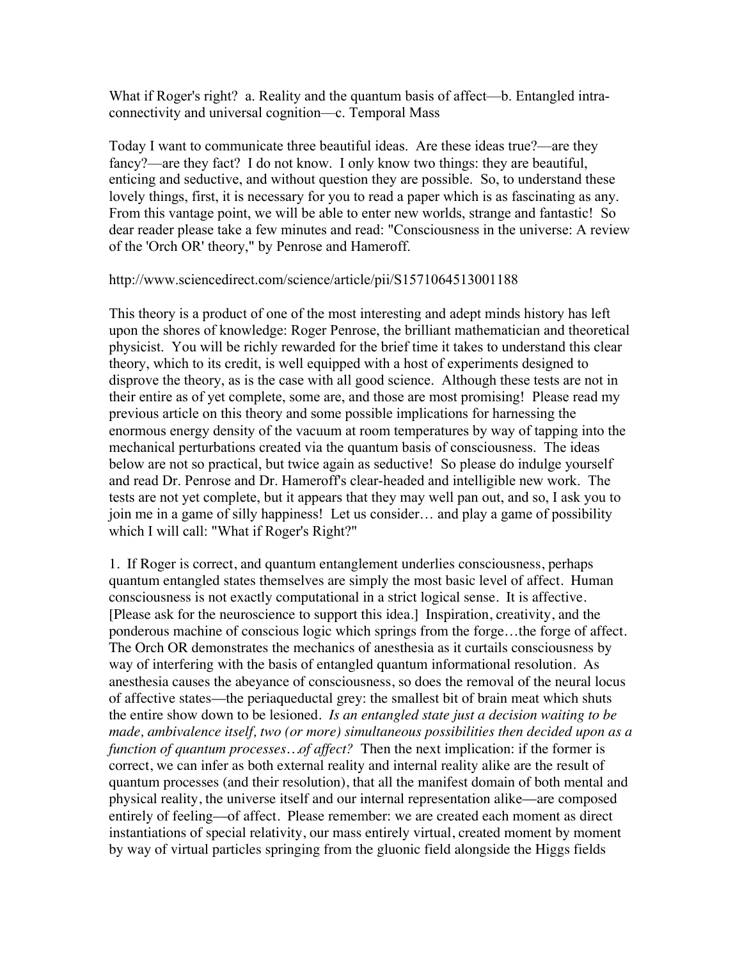What if Roger's right? a. Reality and the quantum basis of affect—b. Entangled intraconnectivity and universal cognition––c. Temporal Mass

Today I want to communicate three beautiful ideas. Are these ideas true?––are they fancy?––are they fact? I do not know. I only know two things: they are beautiful, enticing and seductive, and without question they are possible. So, to understand these lovely things, first, it is necessary for you to read a paper which is as fascinating as any. From this vantage point, we will be able to enter new worlds, strange and fantastic! So dear reader please take a few minutes and read: "Consciousness in the universe: A review of the 'Orch OR' theory," by Penrose and Hameroff.

## http://www.sciencedirect.com/science/article/pii/S1571064513001188

This theory is a product of one of the most interesting and adept minds history has left upon the shores of knowledge: Roger Penrose, the brilliant mathematician and theoretical physicist. You will be richly rewarded for the brief time it takes to understand this clear theory, which to its credit, is well equipped with a host of experiments designed to disprove the theory, as is the case with all good science. Although these tests are not in their entire as of yet complete, some are, and those are most promising! Please read my previous article on this theory and some possible implications for harnessing the enormous energy density of the vacuum at room temperatures by way of tapping into the mechanical perturbations created via the quantum basis of consciousness. The ideas below are not so practical, but twice again as seductive! So please do indulge yourself and read Dr. Penrose and Dr. Hameroff's clear-headed and intelligible new work. The tests are not yet complete, but it appears that they may well pan out, and so, I ask you to join me in a game of silly happiness! Let us consider… and play a game of possibility which I will call: "What if Roger's Right?"

1. If Roger is correct, and quantum entanglement underlies consciousness, perhaps quantum entangled states themselves are simply the most basic level of affect. Human consciousness is not exactly computational in a strict logical sense. It is affective. [Please ask for the neuroscience to support this idea.] Inspiration, creativity, and the ponderous machine of conscious logic which springs from the forge…the forge of affect. The Orch OR demonstrates the mechanics of anesthesia as it curtails consciousness by way of interfering with the basis of entangled quantum informational resolution. As anesthesia causes the abeyance of consciousness, so does the removal of the neural locus of affective states––the periaqueductal grey: the smallest bit of brain meat which shuts the entire show down to be lesioned. *Is an entangled state just a decision waiting to be made, ambivalence itself, two (or more) simultaneous possibilities then decided upon as a function of quantum processes…of affect?* Then the next implication: if the former is correct, we can infer as both external reality and internal reality alike are the result of quantum processes (and their resolution), that all the manifest domain of both mental and physical reality, the universe itself and our internal representation alike––are composed entirely of feeling––of affect. Please remember: we are created each moment as direct instantiations of special relativity, our mass entirely virtual, created moment by moment by way of virtual particles springing from the gluonic field alongside the Higgs fields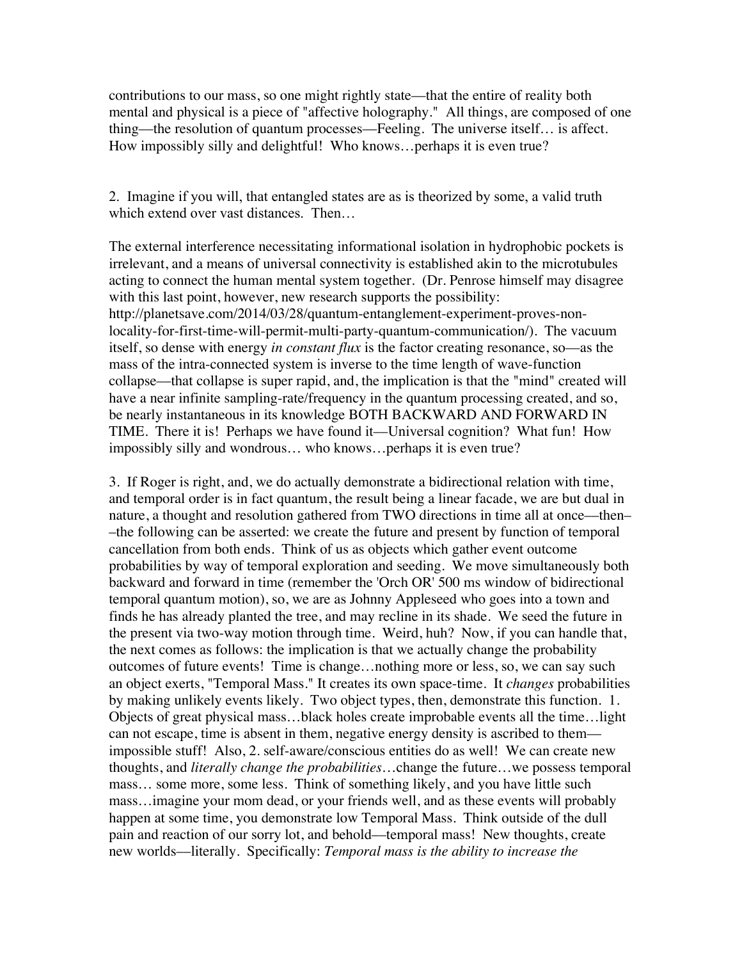contributions to our mass, so one might rightly state––that the entire of reality both mental and physical is a piece of "affective holography." All things, are composed of one thing––the resolution of quantum processes––Feeling. The universe itself… is affect. How impossibly silly and delightful! Who knows…perhaps it is even true?

2. Imagine if you will, that entangled states are as is theorized by some, a valid truth which extend over vast distances. Then…

The external interference necessitating informational isolation in hydrophobic pockets is irrelevant, and a means of universal connectivity is established akin to the microtubules acting to connect the human mental system together. (Dr. Penrose himself may disagree with this last point, however, new research supports the possibility: http://planetsave.com/2014/03/28/quantum-entanglement-experiment-proves-nonlocality-for-first-time-will-permit-multi-party-quantum-communication/). The vacuum itself, so dense with energy *in constant flux* is the factor creating resonance, so––as the mass of the intra-connected system is inverse to the time length of wave-function collapse––that collapse is super rapid, and, the implication is that the "mind" created will have a near infinite sampling-rate/frequency in the quantum processing created, and so, be nearly instantaneous in its knowledge BOTH BACKWARD AND FORWARD IN TIME. There it is! Perhaps we have found it––Universal cognition? What fun! How impossibly silly and wondrous… who knows…perhaps it is even true?

3. If Roger is right, and, we do actually demonstrate a bidirectional relation with time, and temporal order is in fact quantum, the result being a linear facade, we are but dual in nature, a thought and resolution gathered from TWO directions in time all at once—then– –the following can be asserted: we create the future and present by function of temporal cancellation from both ends. Think of us as objects which gather event outcome probabilities by way of temporal exploration and seeding. We move simultaneously both backward and forward in time (remember the 'Orch OR' 500 ms window of bidirectional temporal quantum motion), so, we are as Johnny Appleseed who goes into a town and finds he has already planted the tree, and may recline in its shade. We seed the future in the present via two-way motion through time. Weird, huh? Now, if you can handle that, the next comes as follows: the implication is that we actually change the probability outcomes of future events! Time is change…nothing more or less, so, we can say such an object exerts, "Temporal Mass." It creates its own space-time. It *changes* probabilities by making unlikely events likely. Two object types, then, demonstrate this function. 1. Objects of great physical mass…black holes create improbable events all the time…light can not escape, time is absent in them, negative energy density is ascribed to them–– impossible stuff! Also, 2. self-aware/conscious entities do as well! We can create new thoughts, and *literally change the probabilities*…change the future…we possess temporal mass… some more, some less. Think of something likely, and you have little such mass…imagine your mom dead, or your friends well, and as these events will probably happen at some time, you demonstrate low Temporal Mass. Think outside of the dull pain and reaction of our sorry lot, and behold––temporal mass! New thoughts, create new worlds––literally. Specifically: *Temporal mass is the ability to increase the*